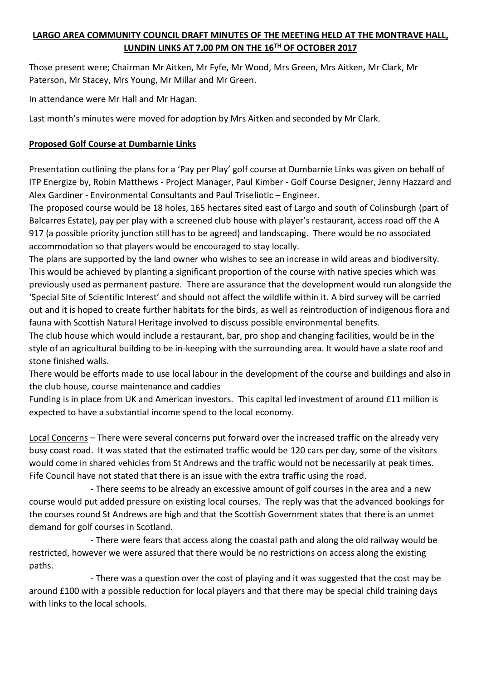# **LARGO AREA COMMUNITY COUNCIL DRAFT MINUTES OF THE MEETING HELD AT THE MONTRAVE HALL, LUNDIN LINKS AT 7.00 PM ON THE 16TH OF OCTOBER 2017**

Those present were; Chairman Mr Aitken, Mr Fyfe, Mr Wood, Mrs Green, Mrs Aitken, Mr Clark, Mr Paterson, Mr Stacey, Mrs Young, Mr Millar and Mr Green.

In attendance were Mr Hall and Mr Hagan.

Last month's minutes were moved for adoption by Mrs Aitken and seconded by Mr Clark.

## **Proposed Golf Course at Dumbarnie Links**

Presentation outlining the plans for a 'Pay per Play' golf course at Dumbarnie Links was given on behalf of ITP Energize by, Robin Matthews - Project Manager, Paul Kimber - Golf Course Designer, Jenny Hazzard and Alex Gardiner - Environmental Consultants and Paul Triseliotic – Engineer.

The proposed course would be 18 holes, 165 hectares sited east of Largo and south of Colinsburgh (part of Balcarres Estate), pay per play with a screened club house with player's restaurant, access road off the A 917 (a possible priority junction still has to be agreed) and landscaping. There would be no associated accommodation so that players would be encouraged to stay locally.

The plans are supported by the land owner who wishes to see an increase in wild areas and biodiversity. This would be achieved by planting a significant proportion of the course with native species which was previously used as permanent pasture. There are assurance that the development would run alongside the 'Special Site of Scientific Interest' and should not affect the wildlife within it. A bird survey will be carried out and it is hoped to create further habitats for the birds, as well as reintroduction of indigenous flora and fauna with Scottish Natural Heritage involved to discuss possible environmental benefits.

The club house which would include a restaurant, bar, pro shop and changing facilities, would be in the style of an agricultural building to be in-keeping with the surrounding area. It would have a slate roof and stone finished walls.

There would be efforts made to use local labour in the development of the course and buildings and also in the club house, course maintenance and caddies

Funding is in place from UK and American investors. This capital led investment of around £11 million is expected to have a substantial income spend to the local economy.

Local Concerns – There were several concerns put forward over the increased traffic on the already very busy coast road. It was stated that the estimated traffic would be 120 cars per day, some of the visitors would come in shared vehicles from St Andrews and the traffic would not be necessarily at peak times. Fife Council have not stated that there is an issue with the extra traffic using the road.

 - There seems to be already an excessive amount of golf courses in the area and a new course would put added pressure on existing local courses. The reply was that the advanced bookings for the courses round St Andrews are high and that the Scottish Government states that there is an unmet demand for golf courses in Scotland.

 - There were fears that access along the coastal path and along the old railway would be restricted, however we were assured that there would be no restrictions on access along the existing paths.

 - There was a question over the cost of playing and it was suggested that the cost may be around £100 with a possible reduction for local players and that there may be special child training days with links to the local schools.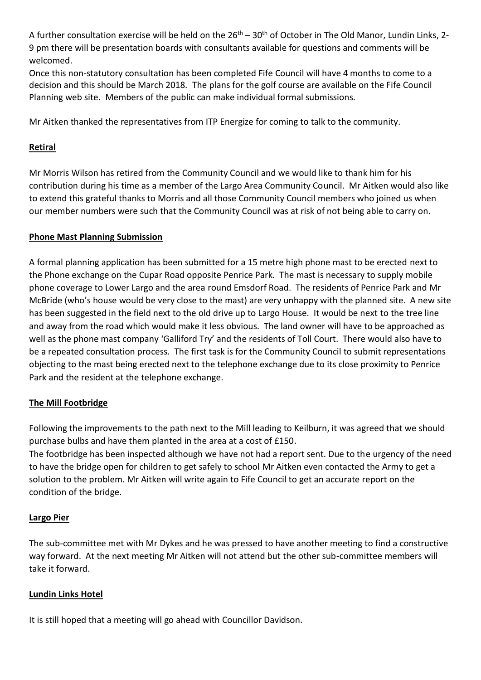A further consultation exercise will be held on the  $26<sup>th</sup> - 30<sup>th</sup>$  of October in The Old Manor, Lundin Links, 2-9 pm there will be presentation boards with consultants available for questions and comments will be welcomed.

Once this non-statutory consultation has been completed Fife Council will have 4 months to come to a decision and this should be March 2018. The plans for the golf course are available on the Fife Council Planning web site. Members of the public can make individual formal submissions.

Mr Aitken thanked the representatives from ITP Energize for coming to talk to the community.

### **Retiral**

Mr Morris Wilson has retired from the Community Council and we would like to thank him for his contribution during his time as a member of the Largo Area Community Council. Mr Aitken would also like to extend this grateful thanks to Morris and all those Community Council members who joined us when our member numbers were such that the Community Council was at risk of not being able to carry on.

#### **Phone Mast Planning Submission**

A formal planning application has been submitted for a 15 metre high phone mast to be erected next to the Phone exchange on the Cupar Road opposite Penrice Park. The mast is necessary to supply mobile phone coverage to Lower Largo and the area round Emsdorf Road. The residents of Penrice Park and Mr McBride (who's house would be very close to the mast) are very unhappy with the planned site. A new site has been suggested in the field next to the old drive up to Largo House. It would be next to the tree line and away from the road which would make it less obvious. The land owner will have to be approached as well as the phone mast company 'Galliford Try' and the residents of Toll Court. There would also have to be a repeated consultation process. The first task is for the Community Council to submit representations objecting to the mast being erected next to the telephone exchange due to its close proximity to Penrice Park and the resident at the telephone exchange.

### **The Mill Footbridge**

Following the improvements to the path next to the Mill leading to Keilburn, it was agreed that we should purchase bulbs and have them planted in the area at a cost of £150.

The footbridge has been inspected although we have not had a report sent. Due to the urgency of the need to have the bridge open for children to get safely to school Mr Aitken even contacted the Army to get a solution to the problem. Mr Aitken will write again to Fife Council to get an accurate report on the condition of the bridge.

#### **Largo Pier**

The sub-committee met with Mr Dykes and he was pressed to have another meeting to find a constructive way forward. At the next meeting Mr Aitken will not attend but the other sub-committee members will take it forward.

#### **Lundin Links Hotel**

It is still hoped that a meeting will go ahead with Councillor Davidson.